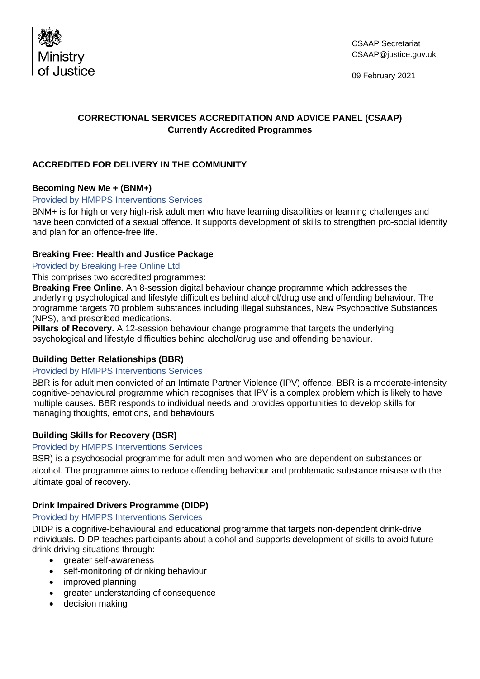

09 February 2021

# **CORRECTIONAL SERVICES ACCREDITATION AND ADVICE PANEL (CSAAP) Currently Accredited Programmes**

## **ACCREDITED FOR DELIVERY IN THE COMMUNITY**

## **Becoming New Me + (BNM+)**

#### Provided by HMPPS Interventions Services

BNM+ is for high or very high-risk adult men who have learning disabilities or learning challenges and have been convicted of a sexual offence. It supports development of skills to strengthen pro-social identity and plan for an offence-free life.

### **Breaking Free: Health and Justice Package**

Provided by Breaking Free Online Ltd

This comprises two accredited programmes:

**Breaking Free Online**. An 8-session digital behaviour change programme which addresses the underlying psychological and lifestyle difficulties behind alcohol/drug use and offending behaviour. The programme targets 70 problem substances including illegal substances, New Psychoactive Substances (NPS), and prescribed medications.

**Pillars of Recovery.** A 12-session behaviour change programme that targets the underlying psychological and lifestyle difficulties behind alcohol/drug use and offending behaviour.

## **Building Better Relationships (BBR)**

#### Provided by HMPPS Interventions Services

BBR is for adult men convicted of an Intimate Partner Violence (IPV) offence. BBR is a moderate-intensity cognitive-behavioural programme which recognises that IPV is a complex problem which is likely to have multiple causes. BBR responds to individual needs and provides opportunities to develop skills for managing thoughts, emotions, and behaviours

## **Building Skills for Recovery (BSR)**

#### Provided by HMPPS Interventions Services

BSR) is a psychosocial programme for adult men and women who are dependent on substances or alcohol. The programme aims to reduce offending behaviour and problematic substance misuse with the ultimate goal of recovery.

## **Drink Impaired Drivers Programme (DIDP)**

#### Provided by HMPPS Interventions Services

DIDP is a cognitive-behavioural and educational programme that targets non-dependent drink-drive individuals. DIDP teaches participants about alcohol and supports development of skills to avoid future drink driving situations through:

- greater self-awareness
- self-monitoring of drinking behaviour
- improved planning
- greater understanding of consequence
- decision making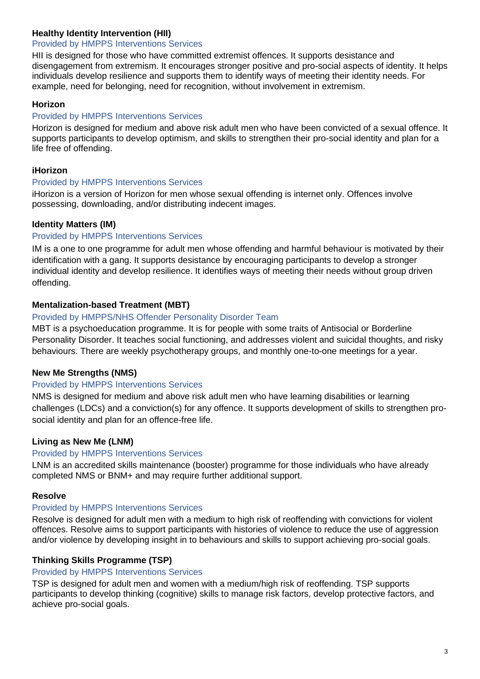## **Healthy Identity Intervention (HII)**

# Provided by HMPPS Interventions Services

HII is designed for those who have committed extremist offences. It supports desistance and disengagement from extremism. It encourages stronger positive and pro-social aspects of identity. It helps individuals develop resilience and supports them to identify ways of meeting their identity needs. For example, need for belonging, need for recognition, without involvement in extremism.

### **Horizon**

### Provided by HMPPS Interventions Services

Horizon is designed for medium and above risk adult men who have been convicted of a sexual offence. It supports participants to develop optimism, and skills to strengthen their pro-social identity and plan for a life free of offending.

### **iHorizon**

### Provided by HMPPS Interventions Services

iHorizon is a version of Horizon for men whose sexual offending is internet only. Offences involve possessing, downloading, and/or distributing indecent images.

### **Identity Matters (IM)**

### Provided by HMPPS Interventions Services

IM is a one to one programme for adult men whose offending and harmful behaviour is motivated by their identification with a gang. It supports desistance by encouraging participants to develop a stronger individual identity and develop resilience. It identifies ways of meeting their needs without group driven offending.

### **Mentalization-based Treatment (MBT)**

#### Provided by HMPPS/NHS Offender Personality Disorder Team

MBT is a psychoeducation programme. It is for people with some traits of Antisocial or Borderline Personality Disorder. It teaches social functioning, and addresses violent and suicidal thoughts, and risky behaviours. There are weekly psychotherapy groups, and monthly one-to-one meetings for a year.

#### **New Me Strengths (NMS)**

### Provided by HMPPS Interventions Services

NMS is designed for medium and above risk adult men who have learning disabilities or learning challenges (LDCs) and a conviction(s) for any offence. It supports development of skills to strengthen prosocial identity and plan for an offence-free life.

### **Living as New Me (LNM)**

#### Provided by HMPPS Interventions Services

LNM is an accredited skills maintenance (booster) programme for those individuals who have already completed NMS or BNM+ and may require further additional support.

#### **Resolve**

### Provided by HMPPS Interventions Services

Resolve is designed for adult men with a medium to high risk of reoffending with convictions for violent offences. Resolve aims to support participants with histories of violence to reduce the use of aggression and/or violence by developing insight in to behaviours and skills to support achieving pro-social goals.

#### **Thinking Skills Programme (TSP)**

### Provided by HMPPS Interventions Services

TSP is designed for adult men and women with a medium/high risk of reoffending. TSP supports participants to develop thinking (cognitive) skills to manage risk factors, develop protective factors, and achieve pro-social goals.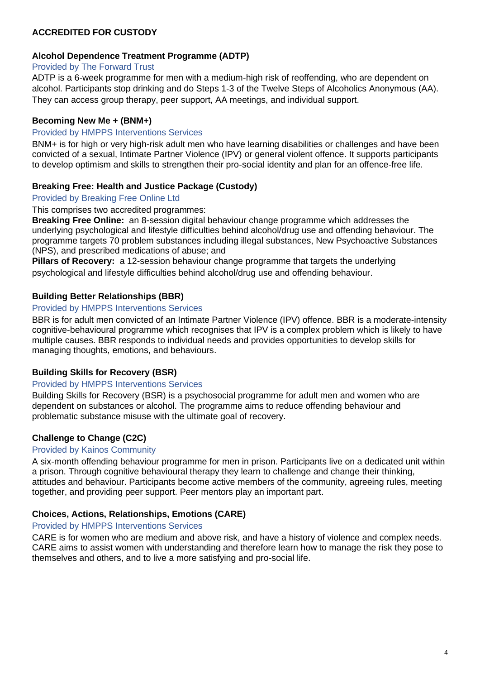# **ACCREDITED FOR CUSTODY**

### **Alcohol Dependence Treatment Programme (ADTP)**

### Provided by The Forward Trust

ADTP is a 6-week programme for men with a medium-high risk of reoffending, who are dependent on alcohol. Participants stop drinking and do Steps 1-3 of the Twelve Steps of Alcoholics Anonymous (AA). They can access group therapy, peer support, AA meetings, and individual support.

### **Becoming New Me + (BNM+)**

#### Provided by HMPPS Interventions Services

BNM+ is for high or very high-risk adult men who have learning disabilities or challenges and have been convicted of a sexual, Intimate Partner Violence (IPV) or general violent offence. It supports participants to develop optimism and skills to strengthen their pro-social identity and plan for an offence-free life.

### **Breaking Free: Health and Justice Package (Custody)**

### Provided by Breaking Free Online Ltd

#### This comprises two accredited programmes:

**Breaking Free Online:** an 8-session digital behaviour change programme which addresses the underlying psychological and lifestyle difficulties behind alcohol/drug use and offending behaviour. The programme targets 70 problem substances including illegal substances, New Psychoactive Substances (NPS), and prescribed medications of abuse; and

**Pillars of Recovery:** a 12-session behaviour change programme that targets the underlying psychological and lifestyle difficulties behind alcohol/drug use and offending behaviour.

### **Building Better Relationships (BBR)**

#### Provided by HMPPS Interventions Services

BBR is for adult men convicted of an Intimate Partner Violence (IPV) offence. BBR is a moderate-intensity cognitive-behavioural programme which recognises that IPV is a complex problem which is likely to have multiple causes. BBR responds to individual needs and provides opportunities to develop skills for managing thoughts, emotions, and behaviours.

#### **Building Skills for Recovery (BSR)**

### Provided by HMPPS Interventions Services

Building Skills for Recovery (BSR) is a psychosocial programme for adult men and women who are dependent on substances or alcohol. The programme aims to reduce offending behaviour and problematic substance misuse with the ultimate goal of recovery.

#### **Challenge to Change (C2C)**

#### Provided by Kainos Community

A six-month offending behaviour programme for men in prison. Participants live on a dedicated unit within a prison. Through cognitive behavioural therapy they learn to challenge and change their thinking, attitudes and behaviour. Participants become active members of the community, agreeing rules, meeting together, and providing peer support. Peer mentors play an important part.

#### **Choices, Actions, Relationships, Emotions (CARE)**

#### Provided by HMPPS Interventions Services

CARE is for women who are medium and above risk, and have a history of violence and complex needs. CARE aims to assist women with understanding and therefore learn how to manage the risk they pose to themselves and others, and to live a more satisfying and pro-social life.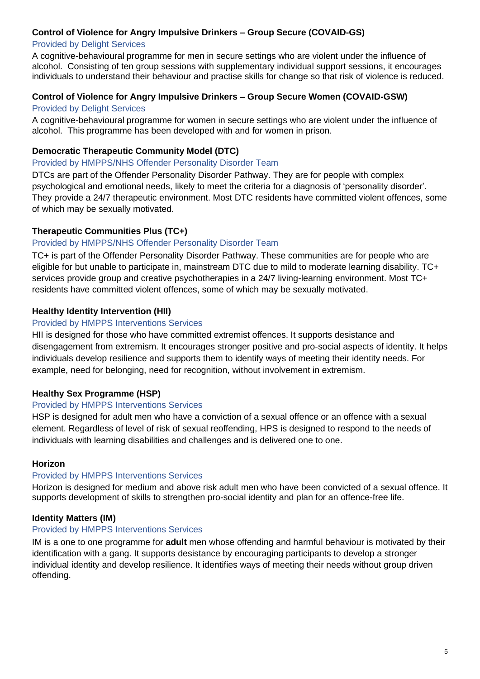### **Control of Violence for Angry Impulsive Drinkers – Group Secure (COVAID-GS)**

### Provided by Delight Services

A cognitive-behavioural programme for men in secure settings who are violent under the influence of alcohol. Consisting of ten group sessions with supplementary individual support sessions, it encourages individuals to understand their behaviour and practise skills for change so that risk of violence is reduced.

### **Control of Violence for Angry Impulsive Drinkers – Group Secure Women (COVAID-GSW)**

#### Provided by Delight Services

A cognitive-behavioural programme for women in secure settings who are violent under the influence of alcohol. This programme has been developed with and for women in prison.

### **Democratic Therapeutic Community Model (DTC)**

Provided by HMPPS/NHS Offender Personality Disorder Team

DTCs are part of the Offender Personality Disorder Pathway. They are for people with complex psychological and emotional needs, likely to meet the criteria for a diagnosis of 'personality disorder'. They provide a 24/7 therapeutic environment. Most DTC residents have committed violent offences, some of which may be sexually motivated.

### **Therapeutic Communities Plus (TC+)**

### Provided by HMPPS/NHS Offender Personality Disorder Team

TC+ is part of the Offender Personality Disorder Pathway. These communities are for people who are eligible for but unable to participate in, mainstream DTC due to mild to moderate learning disability. TC+ services provide group and creative psychotherapies in a 24/7 living-learning environment. Most TC+ residents have committed violent offences, some of which may be sexually motivated.

### **Healthy Identity Intervention (HII)**

### Provided by HMPPS Interventions Services

HII is designed for those who have committed extremist offences. It supports desistance and disengagement from extremism. It encourages stronger positive and pro-social aspects of identity. It helps individuals develop resilience and supports them to identify ways of meeting their identity needs. For example, need for belonging, need for recognition, without involvement in extremism.

## **Healthy Sex Programme (HSP)**

#### Provided by HMPPS Interventions Services

HSP is designed for adult men who have a conviction of a sexual offence or an offence with a sexual element. Regardless of level of risk of sexual reoffending, HPS is designed to respond to the needs of individuals with learning disabilities and challenges and is delivered one to one.

#### **Horizon**

#### Provided by HMPPS Interventions Services

Horizon is designed for medium and above risk adult men who have been convicted of a sexual offence. It supports development of skills to strengthen pro-social identity and plan for an offence-free life.

#### **Identity Matters (IM)**

#### Provided by HMPPS Interventions Services

IM is a one to one programme for **adult** men whose offending and harmful behaviour is motivated by their identification with a gang. It supports desistance by encouraging participants to develop a stronger individual identity and develop resilience. It identifies ways of meeting their needs without group driven offending.